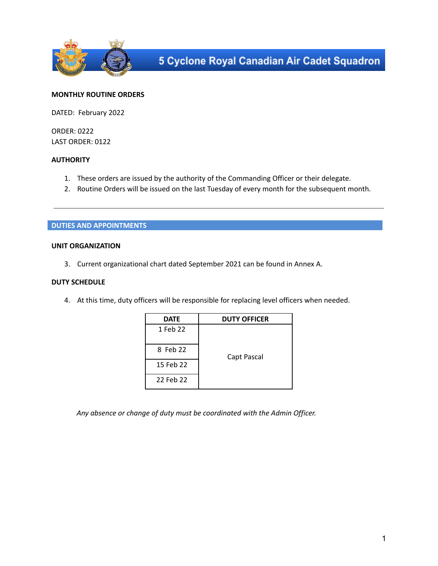

## **MONTHLY ROUTINE ORDERS**

DATED: February 2022

ORDER: 0222 LAST ORDER: 0122

## **AUTHORITY**

- 1. These orders are issued by the authority of the Commanding Officer or their delegate.
- 2. Routine Orders will be issued on the last Tuesday of every month for the subsequent month.

### **DUTIES AND APPOINTMENTS**

## **UNIT ORGANIZATION**

3. Current organizational chart dated September 2021 can be found in Annex A.

### **DUTY SCHEDULE**

4. At this time, duty officers will be responsible for replacing level officers when needed.

| <b>DATE</b> | <b>DUTY OFFICER</b> |  |  |
|-------------|---------------------|--|--|
| 1 Feb 22    |                     |  |  |
| 8 Feb 22    | Capt Pascal         |  |  |
| 15 Feb 22   |                     |  |  |
| 22 Feb 22   |                     |  |  |

*Any absence or change of duty must be coordinated with the Admin Officer.*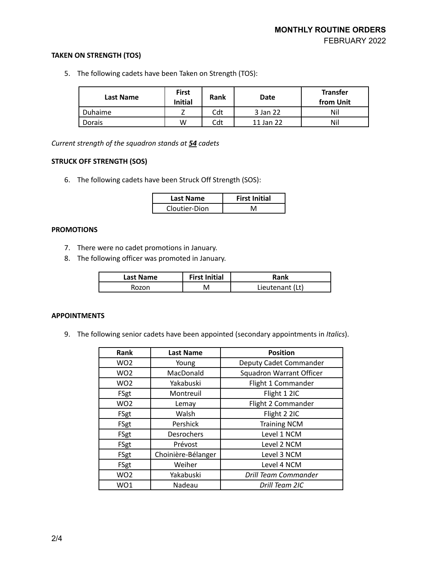# **TAKEN ON STRENGTH (TOS)**

5. The following cadets have been Taken on Strength (TOS):

| <b>Last Name</b> | <b>First</b><br><b>Initial</b> | <b>Rank</b> | Date      | <b>Transfer</b><br>from Unit |
|------------------|--------------------------------|-------------|-----------|------------------------------|
| Duhaime          |                                | Cdt         | 3 Jan 22  | Nil                          |
| Dorais           | W                              | Cdt         | 11 Jan 22 | Nil                          |

*Current strength of the squadron stands at 54 cadets*

# **STRUCK OFF STRENGTH (SOS)**

6. The following cadets have been Struck Off Strength (SOS):

| Last Name     | <b>First Initial</b> |  |
|---------------|----------------------|--|
| Cloutier-Dion | NЛ                   |  |

# **PROMOTIONS**

- 7. There were no cadet promotions in January.
- 8. The following officer was promoted in January.

| <b>Last Name</b> | <b>First Initial</b> | Rank            |
|------------------|----------------------|-----------------|
| Rozon            |                      | Lieutenant (Lt) |

### **APPOINTMENTS**

9. The following senior cadets have been appointed (secondary appointments in *Italics*).

| Rank            | <b>Last Name</b>   | <b>Position</b>          |
|-----------------|--------------------|--------------------------|
| WO <sub>2</sub> | Young              | Deputy Cadet Commander   |
| WO <sub>2</sub> | MacDonald          | Squadron Warrant Officer |
| WO <sub>2</sub> | Yakabuski          | Flight 1 Commander       |
| FSgt            | Montreuil          | Flight 1 2IC             |
| WO <sub>2</sub> | Lemay              | Flight 2 Commander       |
| FSgt            | Walsh              | Flight 2 2IC             |
| FSgt            | Pershick           | <b>Training NCM</b>      |
| FSgt            | Desrochers         | Level 1 NCM              |
| FSgt            | Prévost            | Level 2 NCM              |
| FSgt            | Choinière-Bélanger | Level 3 NCM              |
| FSgt            | Weiher             | Level 4 NCM              |
| WO <sub>2</sub> | Yakabuski          | Drill Team Commander     |
| WO1             | Nadeau             | Drill Team 2IC           |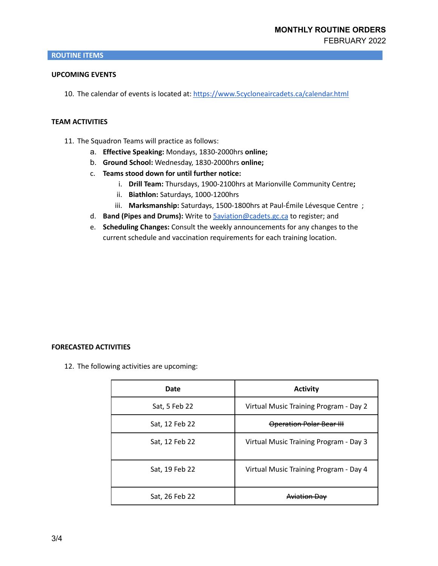### **UPCOMING EVENTS**

10. The calendar of events is located at: <https://www.5cycloneaircadets.ca/calendar.html>

### **TEAM ACTIVITIES**

- 11. The Squadron Teams will practice as follows:
	- a. **Effective Speaking:** Mondays, 1830-2000hrs **online;**
	- b. **Ground School:** Wednesday, 1830-2000hrs **online;**
	- c. **Teams stood down for until further notice:**
		- i. **Drill Team:** Thursdays, 1900-2100hrs at Marionville Community Centre**;**
		- ii. **Biathlon:** Saturdays, 1000-1200hrs
		- iii. **Marksmanship:** Saturdays, 1500-1800hrs at Paul-Émile Lévesque Centre ;
	- d. **Band (Pipes and Drums):** Write to [5aviation@cadets.gc.ca](mailto:5aviation@cadets.gc.ca) to register; and
	- e. **Scheduling Changes:** Consult the weekly announcements for any changes to the current schedule and vaccination requirements for each training location.

#### **FORECASTED ACTIVITIES**

12. The following activities are upcoming:

| Date           | <b>Activity</b>                        |
|----------------|----------------------------------------|
| Sat, 5 Feb 22  | Virtual Music Training Program - Day 2 |
| Sat, 12 Feb 22 | Operation Polar Bear III               |
| Sat, 12 Feb 22 | Virtual Music Training Program - Day 3 |
| Sat, 19 Feb 22 | Virtual Music Training Program - Day 4 |
| Sat, 26 Feb 22 |                                        |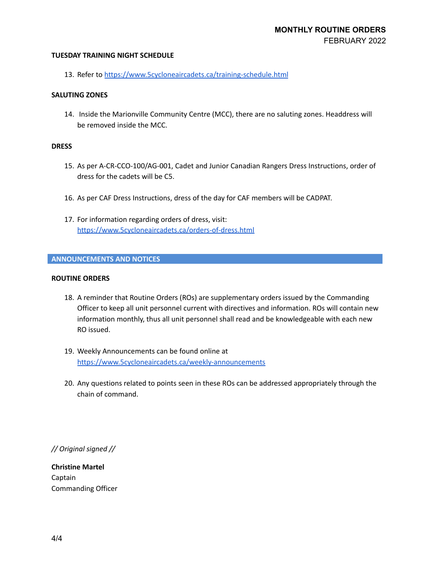### **TUESDAY TRAINING NIGHT SCHEDULE**

13. Refer to <https://www.5cycloneaircadets.ca/training-schedule.html>

### **SALUTING ZONES**

14. Inside the Marionville Community Centre (MCC), there are no saluting zones. Headdress will be removed inside the MCC.

### **DRESS**

- 15. As per A-CR-CCO-100/AG-001, Cadet and Junior Canadian Rangers Dress Instructions, order of dress for the cadets will be C5.
- 16. As per CAF Dress Instructions, dress of the day for CAF members will be CADPAT.
- 17. For information regarding orders of dress, visit: <https://www.5cycloneaircadets.ca/orders-of-dress.html>

### **ANNOUNCEMENTS AND NOTICES**

#### **ROUTINE ORDERS**

- 18. A reminder that Routine Orders (ROs) are supplementary orders issued by the Commanding Officer to keep all unit personnel current with directives and information. ROs will contain new information monthly, thus all unit personnel shall read and be knowledgeable with each new RO issued.
- 19. Weekly Announcements can be found online at <https://www.5cycloneaircadets.ca/weekly-announcements>
- 20. Any questions related to points seen in these ROs can be addressed appropriately through the chain of command.

*// Original signed //*

**Christine Martel** Captain Commanding Officer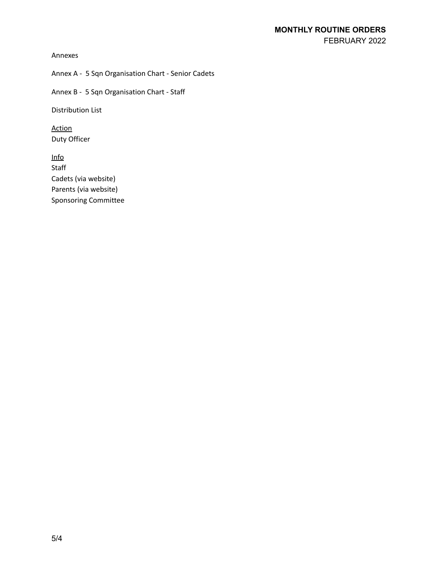Annexes

Annex A - 5 Sqn Organisation Chart - Senior Cadets

Annex B - 5 Sqn Organisation Chart - Staff

Distribution List

Action Duty Officer

Info **Staff** Cadets (via website) Parents (via website) Sponsoring Committee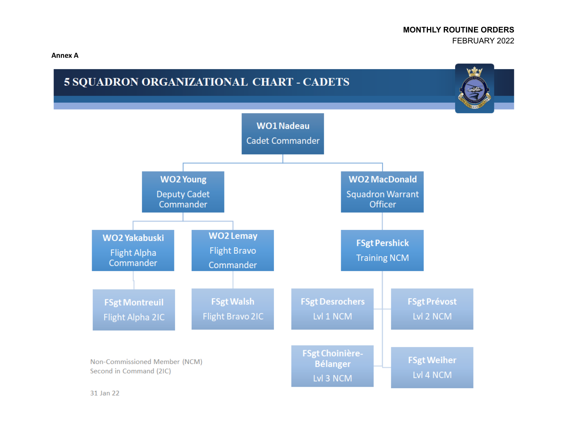**Annex A**